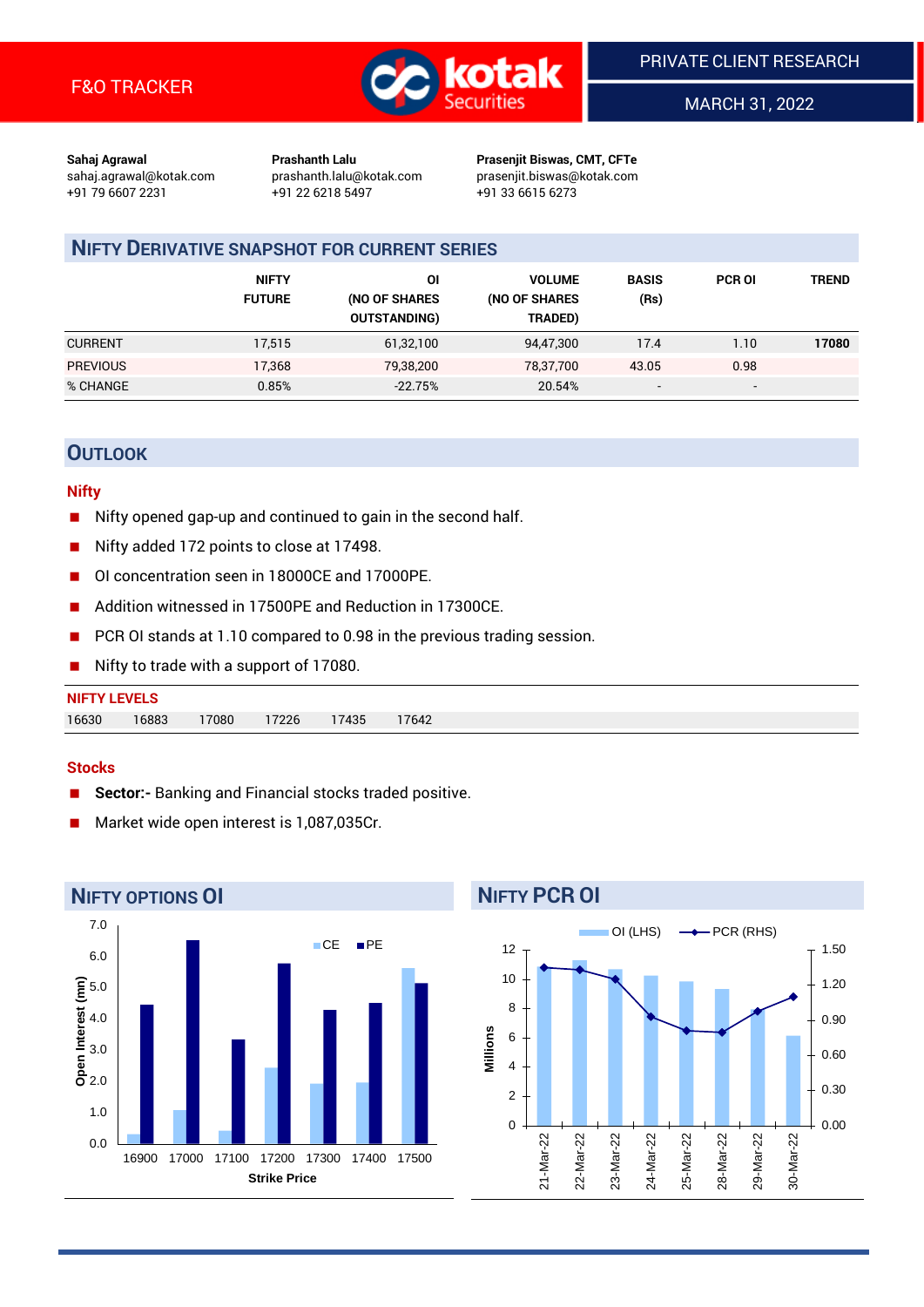

MARCH 31, 2022

**Sahaj Agrawal Prashanth Lalu Prasenjit Biswas, CMT, CFTe** +91 79 6607 2231 +91 22 6218 5497 +91 33 6615 6273

sahaj.agrawal@kotak.com [prashanth.lalu@kotak.com](mailto:prashanth.lalu@kotak.com) prasenjit.biswas@kotak.com

# **NIFTY DERIVATIVE SNAPSHOT FOR CURRENT SERIES**

|                 | <b>NIFTY</b><br><b>FUTURE</b> | ΟI<br>(NO OF SHARES<br><b>OUTSTANDING)</b> | <b>VOLUME</b><br>(NO OF SHARES<br>TRADED) | <b>BASIS</b><br>(Rs)     | <b>PCR OI</b>            | TREND |
|-----------------|-------------------------------|--------------------------------------------|-------------------------------------------|--------------------------|--------------------------|-------|
| <b>CURRENT</b>  | 17,515                        | 61,32,100                                  | 94,47,300                                 | 17.4                     | 1.10                     | 17080 |
| <b>PREVIOUS</b> | 17,368                        | 79,38,200                                  | 78,37,700                                 | 43.05                    | 0.98                     |       |
| % CHANGE        | 0.85%                         | $-22.75%$                                  | 20.54%                                    | $\overline{\phantom{a}}$ | $\overline{\phantom{a}}$ |       |

## **OUTLOOK**

#### **Nifty**

- Nifty opened gap-up and continued to gain in the second half.
- Nifty added 172 points to close at 17498.
- OI concentration seen in 18000CE and 17000PE.
- Addition witnessed in 17500PE and Reduction in 17300CE.
- PCR OI stands at 1.10 compared to 0.98 in the previous trading session.
- Nifty to trade with a support of 17080.

#### **Stocks**

- **Sector:-** Banking and Financial stocks traded positive.
- Market wide open interest is 1,087,035Cr.



# **NIFTY PCR OI**

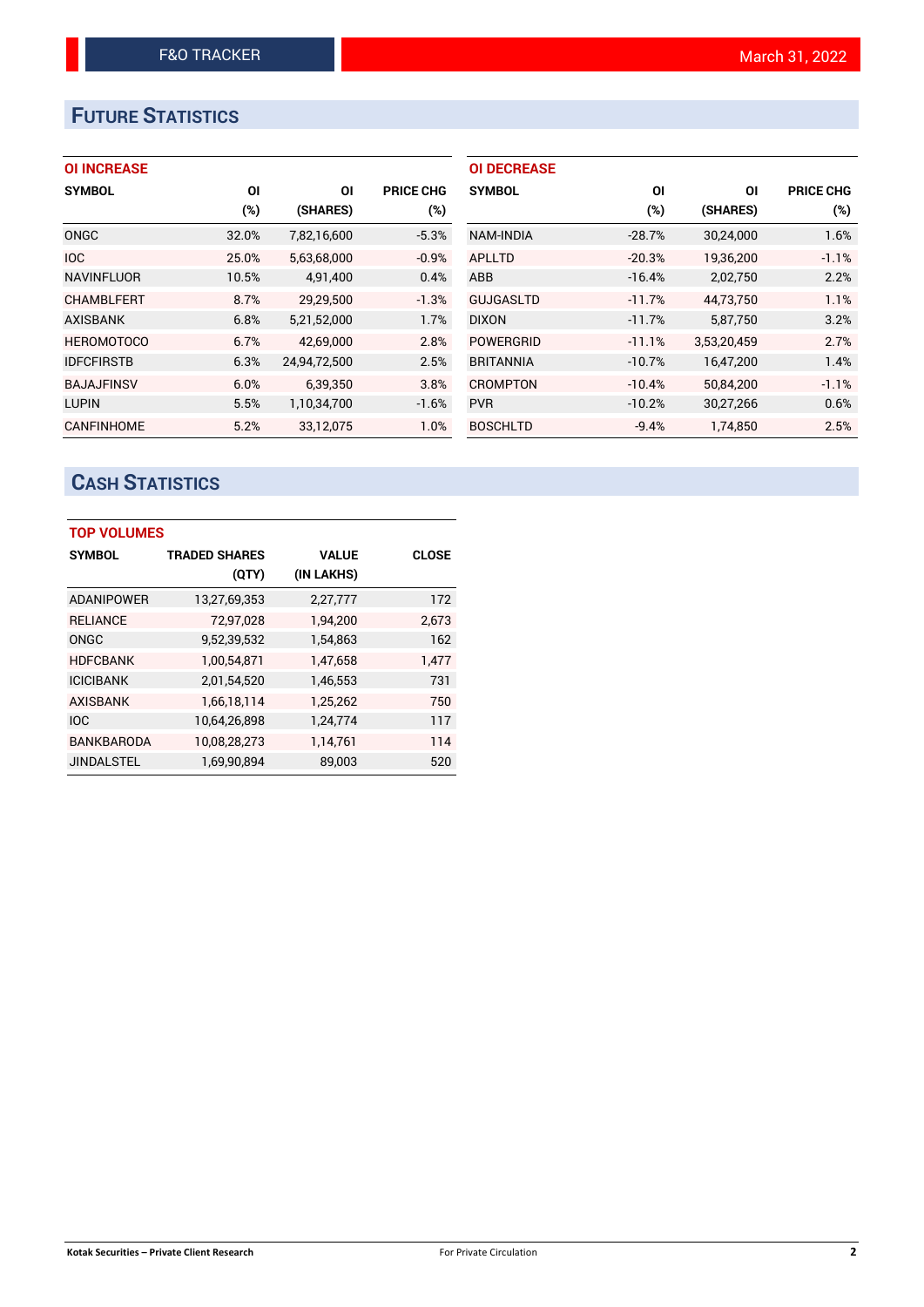# **FUTURE STATISTICS**

| <b>OI INCREASE</b> |
|--------------------|
|--------------------|

| <b>SYMBOL</b>     | ΟI    | ΟI           | <b>PRICE CHG</b> |
|-------------------|-------|--------------|------------------|
|                   | (%)   | (SHARES)     | $(\%)$           |
| <b>ONGC</b>       | 32.0% | 7,82,16,600  | $-5.3%$          |
| <b>IOC</b>        | 25.0% | 5,63,68,000  | $-0.9%$          |
| <b>NAVINFLUOR</b> | 10.5% | 4,91,400     | 0.4%             |
| <b>CHAMBLFERT</b> | 8.7%  | 29,29,500    | $-1.3%$          |
| <b>AXISBANK</b>   | 6.8%  | 5,21,52,000  | 1.7%             |
| <b>HEROMOTOCO</b> | 6.7%  | 42,69,000    | 2.8%             |
| <b>IDFCFIRSTB</b> | 6.3%  | 24,94,72,500 | 2.5%             |
| <b>BAJAJFINSV</b> | 6.0%  | 6,39,350     | 3.8%             |
| <b>LUPIN</b>      | 5.5%  | 1,10,34,700  | $-1.6%$          |
| <b>CANFINHOME</b> | 5.2%  | 33.12.075    | 1.0%             |

| <b>OI DECREASE</b> |          |             |                  |
|--------------------|----------|-------------|------------------|
| <b>SYMBOL</b>      | ΟI       | ΟI          | <b>PRICE CHG</b> |
|                    | (%)      | (SHARES)    | (%)              |
| NAM-INDIA          | $-28.7%$ | 30,24,000   | 1.6%             |
| APLLTD             | $-20.3%$ | 19,36,200   | $-1.1%$          |
| ABB                | $-16.4%$ | 2,02,750    | 2.2%             |
| <b>GUJGASLTD</b>   | $-11.7%$ | 44.73.750   | 1.1%             |
| <b>DIXON</b>       | $-11.7%$ | 5,87,750    | 3.2%             |
| <b>POWERGRID</b>   | $-11.1%$ | 3,53,20,459 | 2.7%             |
| <b>BRITANNIA</b>   | $-10.7%$ | 16,47,200   | 1.4%             |
| <b>CROMPTON</b>    | $-10.4%$ | 50,84,200   | $-1.1%$          |
| <b>PVR</b>         | $-10.2%$ | 30,27,266   | 0.6%             |
| <b>BOSCHLTD</b>    | $-9.4%$  | 1,74,850    | 2.5%             |

# **CASH STATISTICS**

| <b>TOP VOLUMES</b> |                      |              |              |  |  |  |  |  |
|--------------------|----------------------|--------------|--------------|--|--|--|--|--|
| <b>SYMBOL</b>      | <b>TRADED SHARES</b> | <b>VALUE</b> | <b>CLOSE</b> |  |  |  |  |  |
|                    | (QTY)                | (IN LAKHS)   |              |  |  |  |  |  |
| <b>ADANIPOWER</b>  | 13,27,69,353         | 2,27,777     | 172          |  |  |  |  |  |
| <b>RELIANCE</b>    | 72,97,028            | 1,94,200     | 2,673        |  |  |  |  |  |
| ONGC               | 9,52,39,532          | 1,54,863     | 162          |  |  |  |  |  |
| <b>HDFCBANK</b>    | 1,00,54,871          | 1.47.658     | 1,477        |  |  |  |  |  |
| <b>ICICIBANK</b>   | 2,01,54,520          | 1,46,553     | 731          |  |  |  |  |  |
| <b>AXISBANK</b>    | 1,66,18,114          | 1,25,262     | 750          |  |  |  |  |  |
| <b>IOC</b>         | 10,64,26,898         | 1,24,774     | 117          |  |  |  |  |  |
| <b>BANKBARODA</b>  | 10,08,28,273         | 1,14,761     | 114          |  |  |  |  |  |
| <b>JINDALSTEL</b>  | 1,69,90,894          | 89,003       | 520          |  |  |  |  |  |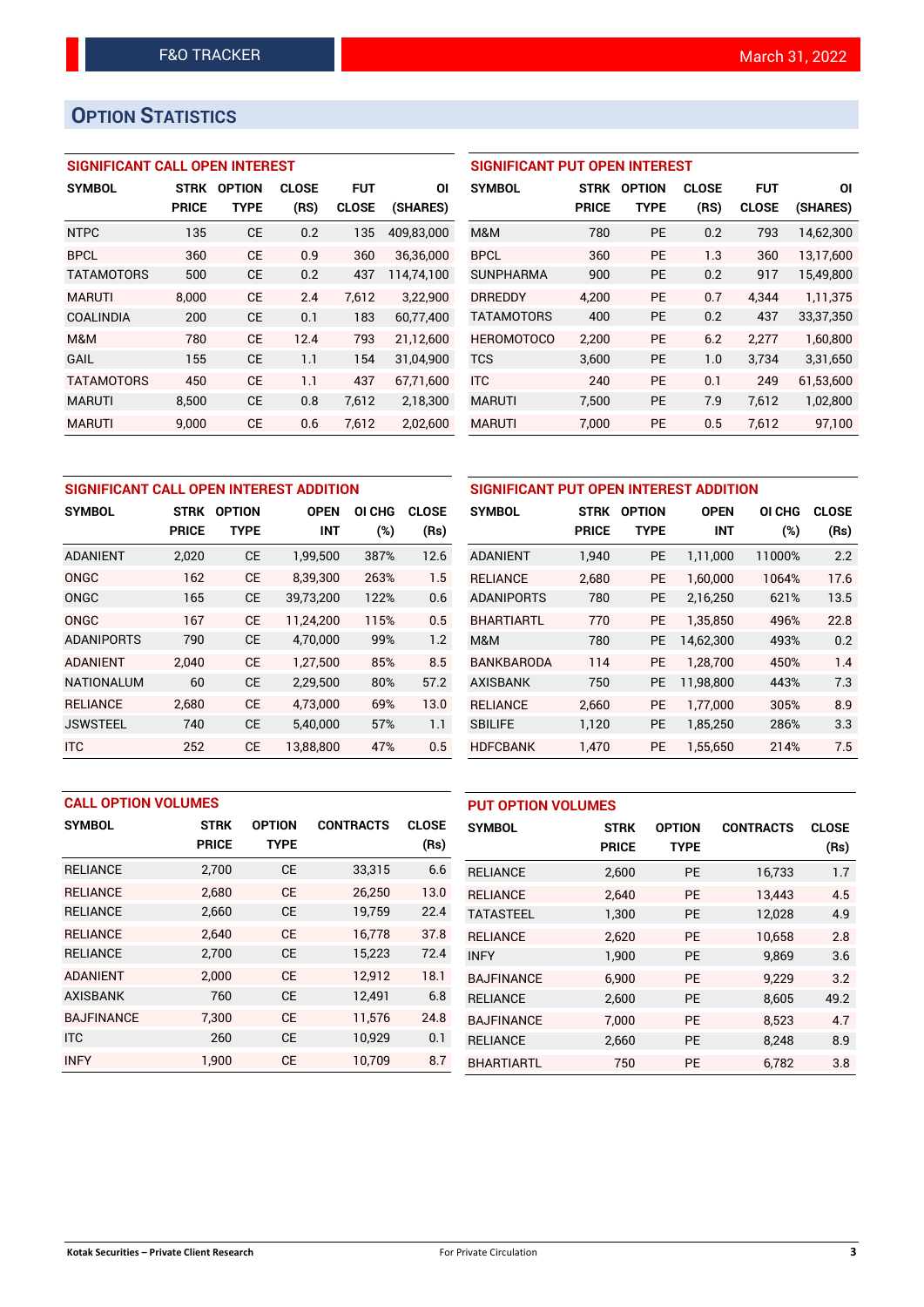# **OPTION STATISTICS**

## **SIGNIFICANT CALL OPEN INTEREST**

| <b>SYMBOL</b>     | <b>STRK</b>  | <b>OPTION</b> | <b>CLOSE</b> | <b>FUT</b>   | ΟI         |
|-------------------|--------------|---------------|--------------|--------------|------------|
|                   | <b>PRICE</b> | TYPE          | (RS)         | <b>CLOSE</b> | (SHARES)   |
| <b>NTPC</b>       | 135          | CE            | 0.2          | 135          | 409,83,000 |
| <b>BPCL</b>       | 360          | CE            | 0.9          | 360          | 36,36,000  |
| <b>TATAMOTORS</b> | 500          | CE            | 0.2          | 437          | 114,74,100 |
| <b>MARUTI</b>     | 8,000        | CE            | 2.4          | 7.612        | 3,22,900   |
| <b>COALINDIA</b>  | 200          | CE            | 0.1          | 183          | 60,77,400  |
| M&M               | 780          | CE            | 12.4         | 793          | 21,12,600  |
| GAIL              | 155          | CE            | 1.1          | 154          | 31,04,900  |
| <b>TATAMOTORS</b> | 450          | <b>CE</b>     | 1.1          | 437          | 67,71,600  |
| <b>MARUTI</b>     | 8,500        | CE            | 0.8          | 7,612        | 2,18,300   |
| <b>MARUTI</b>     | 9.000        | СE            | 0.6          | 7.612        | 2,02,600   |

## **SIGNIFICANT PUT OPEN INTEREST**

| <b>SYMBOL</b>     | <b>STRK</b><br><b>PRICE</b> | <b>OPTION</b><br>TYPE | <b>CLOSE</b><br>(RS) | FUT<br><b>CLOSE</b> | ΟI<br>(SHARES) |
|-------------------|-----------------------------|-----------------------|----------------------|---------------------|----------------|
| M&M               | 780                         | PF                    | 0.2                  | 793                 | 14,62,300      |
| <b>BPCL</b>       | 360                         | PE                    | 1.3                  | 360                 | 13,17,600      |
| <b>SUNPHARMA</b>  | 900                         | PF                    | 0.2                  | 917                 | 15,49,800      |
| <b>DRREDDY</b>    | 4.200                       | PF                    | 0.7                  | 4.344               | 1,11,375       |
| <b>TATAMOTORS</b> | 400                         | PE                    | 0.2                  | 437                 | 33, 37, 350    |
| <b>HEROMOTOCO</b> | 2.200                       | <b>PE</b>             | 6.2                  | 2.277               | 1,60,800       |
| TCS               | 3,600                       | PE                    | 1.0                  | 3,734               | 3,31,650       |
| <b>ITC</b>        | 240                         | PF                    | 0.1                  | 249                 | 61,53,600      |
| <b>MARUTI</b>     | 7.500                       | <b>PE</b>             | 7.9                  | 7.612               | 1,02,800       |
| <b>MARUTI</b>     | 7,000                       | <b>PE</b>             | 0.5                  | 7,612               | 97,100         |

| SIGNIFICANT CALL OPEN INTEREST ADDITION |              |               |             |                  | SIGNIFICANT PUT OPEN INTEREST ADDITION |                   |              |               |             |        |              |
|-----------------------------------------|--------------|---------------|-------------|------------------|----------------------------------------|-------------------|--------------|---------------|-------------|--------|--------------|
| <b>SYMBOL</b>                           | <b>STRK</b>  | <b>OPTION</b> | <b>OPEN</b> | <b>CHG</b><br>ΟI | <b>CLOSE</b>                           | <b>SYMBOL</b>     | <b>STRK</b>  | <b>OPTION</b> | <b>OPEN</b> | OI CHG | <b>CLOSE</b> |
|                                         | <b>PRICE</b> | <b>TYPE</b>   | <b>INT</b>  | $(\%)$           | (Rs)                                   |                   | <b>PRICE</b> | <b>TYPE</b>   | <b>INT</b>  | (%)    | (Rs)         |
| <b>ADANIENT</b>                         | 2,020        | <b>CE</b>     | 1,99,500    | 387%             | 12.6                                   | <b>ADANIENT</b>   | 1,940        | PE            | 1,11,000    | 11000% | 2.2          |
| <b>ONGC</b>                             | 162          | <b>CE</b>     | 8.39.300    | 263%             | 1.5                                    | <b>RELIANCE</b>   | 2,680        | <b>PE</b>     | 1.60.000    | 1064%  | 17.6         |
| ONGC                                    | 165          | <b>CE</b>     | 39,73,200   | 122%             | 0.6                                    | <b>ADANIPORTS</b> | 780          | <b>PE</b>     | 2,16,250    | 621%   | 13.5         |
| ONGC                                    | 167          | <b>CE</b>     | 11.24.200   | 115%             | 0.5                                    | <b>BHARTIARTL</b> | 770          | <b>PE</b>     | 1.35.850    | 496%   | 22.8         |
| <b>ADANIPORTS</b>                       | 790          | <b>CE</b>     | 4,70,000    | 99%              | 1.2                                    | M&M               | 780          | <b>PE</b>     | 14,62,300   | 493%   | 0.2          |
| <b>ADANIENT</b>                         | 2.040        | <b>CE</b>     | 1.27.500    | 85%              | 8.5                                    | <b>BANKBARODA</b> | 114          | <b>PE</b>     | 1.28.700    | 450%   | 1.4          |
| <b>NATIONALUM</b>                       | 60           | <b>CE</b>     | 2,29,500    | 80%              | 57.2                                   | <b>AXISBANK</b>   | 750          | <b>PE</b>     | 11.98.800   | 443%   | 7.3          |
| <b>RELIANCE</b>                         | 2.680        | <b>CE</b>     | 4.73.000    | 69%              | 13.0                                   | <b>RELIANCE</b>   | 2.660        | <b>PE</b>     | 1.77.000    | 305%   | 8.9          |
| <b>JSWSTEEL</b>                         | 740          | <b>CE</b>     | 5,40,000    | 57%              | 1.1                                    | <b>SBILIFE</b>    | 1,120        | <b>PE</b>     | 1,85,250    | 286%   | 3.3          |
| <b>ITC</b>                              | 252          | <b>CE</b>     | 13,88,800   | 47%              | 0.5                                    | <b>HDFCBANK</b>   | 1,470        | <b>PE</b>     | 1,55,650    | 214%   | 7.5          |

| <b>CALL OPTION VOLUMES</b> |              |               |                  | <b>PUT OPTION VOLUMES</b> |                   |              |               |                  |              |
|----------------------------|--------------|---------------|------------------|---------------------------|-------------------|--------------|---------------|------------------|--------------|
| <b>SYMBOL</b>              | <b>STRK</b>  | <b>OPTION</b> | <b>CONTRACTS</b> | <b>CLOSE</b>              | <b>SYMBOL</b>     | <b>STRK</b>  | <b>OPTION</b> | <b>CONTRACTS</b> | <b>CLOSE</b> |
|                            | <b>PRICE</b> | <b>TYPE</b>   |                  | (Rs)                      |                   | <b>PRICE</b> | <b>TYPE</b>   |                  | (Rs)         |
| <b>RELIANCE</b>            | 2,700        | <b>CE</b>     | 33,315           | 6.6                       | <b>RELIANCE</b>   | 2,600        | <b>PE</b>     | 16,733           | 1.7          |
| <b>RELIANCE</b>            | 2,680        | <b>CE</b>     | 26,250           | 13.0                      | <b>RELIANCE</b>   | 2.640        | <b>PE</b>     | 13.443           | 4.5          |
| <b>RELIANCE</b>            | 2,660        | <b>CE</b>     | 19,759           | 22.4                      | <b>TATASTEEL</b>  | 1,300        | <b>PE</b>     | 12,028           | 4.9          |
| <b>RELIANCE</b>            | 2.640        | <b>CE</b>     | 16,778           | 37.8                      | <b>RELIANCE</b>   | 2,620        | <b>PE</b>     | 10.658           | 2.8          |
| <b>RELIANCE</b>            | 2,700        | <b>CE</b>     | 15,223           | 72.4                      | <b>INFY</b>       | 1,900        | <b>PE</b>     | 9,869            | 3.6          |
| <b>ADANIENT</b>            | 2,000        | <b>CE</b>     | 12,912           | 18.1                      | <b>BAJFINANCE</b> | 6,900        | <b>PE</b>     | 9,229            | 3.2          |
| <b>AXISBANK</b>            | 760          | <b>CE</b>     | 12,491           | 6.8                       | <b>RELIANCE</b>   | 2,600        | <b>PE</b>     | 8.605            | 49.2         |
| <b>BAJFINANCE</b>          | 7.300        | <b>CE</b>     | 11.576           | 24.8                      | <b>BAJFINANCE</b> | 7.000        | <b>PE</b>     | 8,523            | 4.7          |
| <b>ITC</b>                 | 260          | <b>CE</b>     | 10,929           | 0.1                       | <b>RELIANCE</b>   | 2,660        | <b>PE</b>     | 8.248            | 8.9          |
| <b>INFY</b>                | 1,900        | <b>CE</b>     | 10,709           | 8.7                       | <b>BHARTIARTL</b> | 750          | <b>PE</b>     | 6,782            | 3.8          |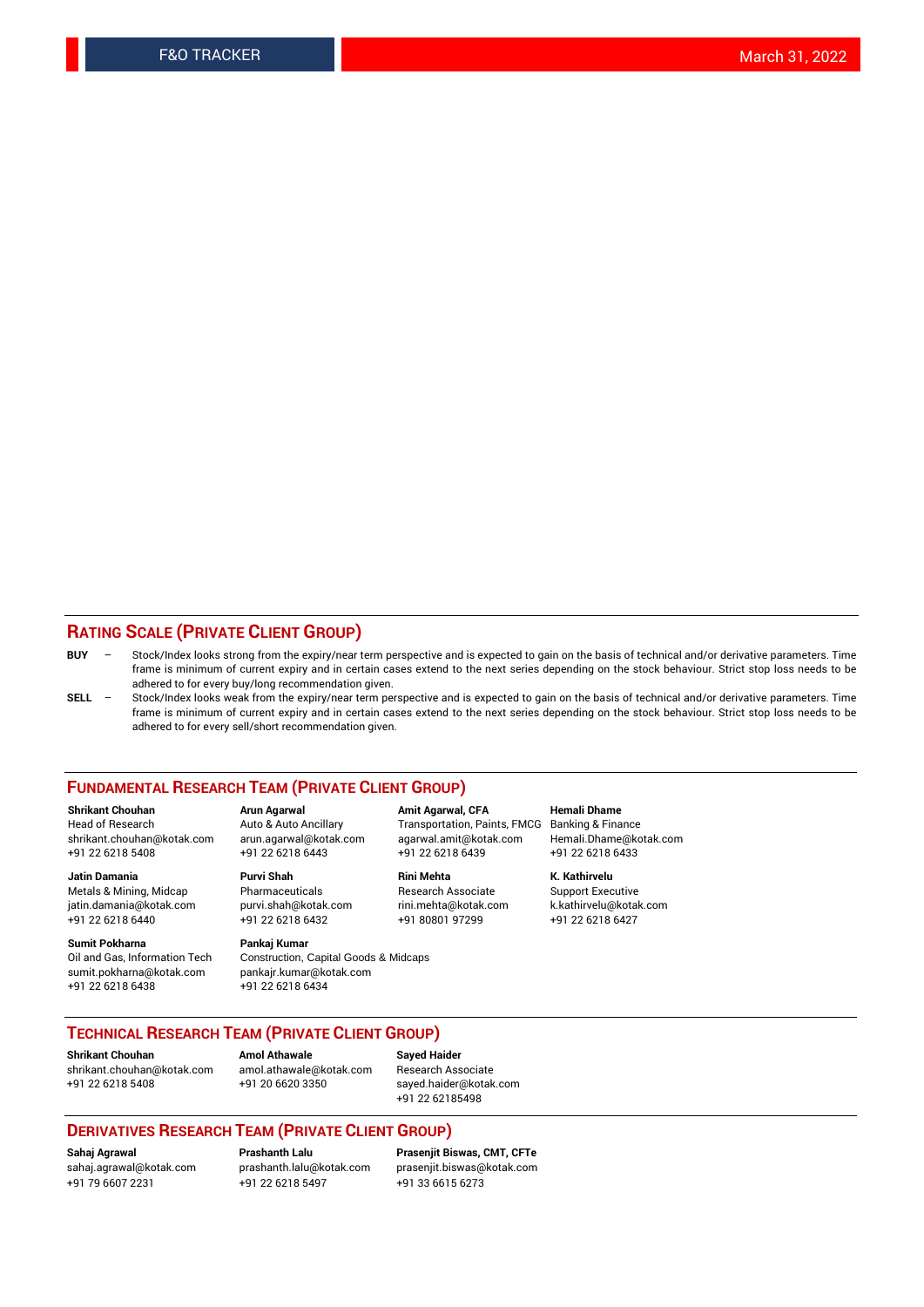## **RATING SCALE (PRIVATE CLIENT GROUP)**

- **BUY**  Stock/Index looks strong from the expiry/near term perspective and is expected to gain on the basis of technical and/or derivative parameters. Time frame is minimum of current expiry and in certain cases extend to the next series depending on the stock behaviour. Strict stop loss needs to be adhered to for every buy/long recommendation given.
- **SELL** Stock/Index looks weak from the expiry/near term perspective and is expected to gain on the basis of technical and/or derivative parameters. Time frame is minimum of current expiry and in certain cases extend to the next series depending on the stock behaviour. Strict stop loss needs to be adhered to for every sell/short recommendation given.

#### **FUNDAMENTAL RESEARCH TEAM (PRIVATE CLIENT GROUP)**

**Shrikant Chouhan Arun Agarwal Amit Agarwal, CFA Hemali Dhame** shrikant.chouhan@kotak.com arun.agarwal@kotak.com agarwal.amit@kotak.com Hemali.Dhame@kotak.com +91 22 6218 5408 +91 22 6218 6443 +91 22 6218 6439 +91 22 6218 6433

Metals & Mining, Midcap Pharmaceuticals Pharmaceuticals Research Associate Support Executive<br>
iatin.damania@kotak.com purvi.shah@kotak.com rini.mehta@kotak.com k.kathirvelu@kotak.com jatin.damania@kotak.com

**Sumit Pokharna** Pankaj Kumar<br>Oil and Gas, Information Tech Construction, sumit.pokharna@kotak.com pankajr.kumar@kotak.com

Construction, Capital Goods & Midcaps +91 22 6218 6438 +91 22 6218 6434

Transportation, Paints, FMCG

**Jatin Damania Purvi Shah Rini Mehta K. Kathirvelu** +91 22 6218 6440 +91 22 6218 6432 +91 80801 97299 +91 22 6218 6427

## **TECHNICAL RESEARCH TEAM (PRIVATE CLIENT GROUP)**

**Shrikant Chouhan Amol Athawale Sayed Haider** [shrikant.chouhan@kotak.com](mailto:shrikant.chouhan@kotak.com) [amol.athawale@kotak.com](mailto:amol.athawale@kotak.com) Research Associate +91 22 6218 5408 +91 20 6620 3350 [sayed.haider@kotak.com](mailto:sayed.haider@kotak.com)

+91 22 62185498

#### **DERIVATIVES RESEARCH TEAM (PRIVATE CLIENT GROUP)**

+91 79 6607 2231 +91 22 6218 5497 +91 33 6615 6273

**Sahaj Agrawal Prashanth Lalu Prasenjit Biswas, CMT, CFTe** [prasenjit.biswas@kotak.com](mailto:prasenjit.biswas@kotak.com)